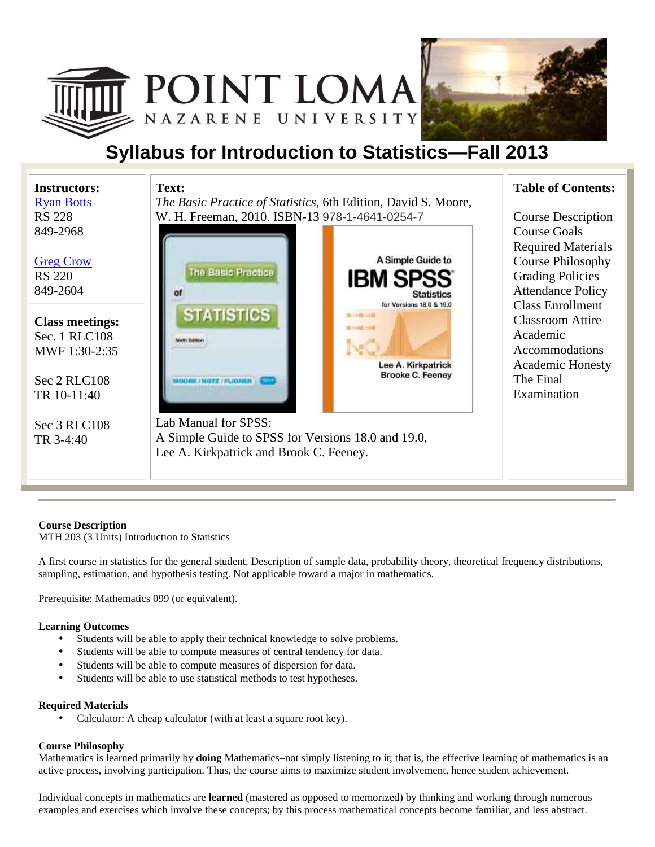



# **Syllabus for Introduction to Statistics—Fall 2013**

| <b>Instructors:</b>                                       | Text:                                                                                                       | <b>Table of Contents:</b>                                                                                                                                      |
|-----------------------------------------------------------|-------------------------------------------------------------------------------------------------------------|----------------------------------------------------------------------------------------------------------------------------------------------------------------|
| <b>Ryan Botts</b>                                         | <i>The Basic Practice of Statistics, 6th Edition, David S. Moore,</i>                                       |                                                                                                                                                                |
| <b>RS 228</b>                                             | W. H. Freeman, 2010. ISBN-13 978-1-4641-0254-7                                                              | <b>Course Description</b>                                                                                                                                      |
| 849-2968<br><b>Greg Crow</b><br><b>RS 220</b><br>849-2604 | A Simple Guide to<br>The Basic Practice<br><b>IBM SPSS</b><br><b>Statistics</b><br>for Versions 18.0 & 19.0 | <b>Course Goals</b><br><b>Required Materials</b><br><b>Course Philosophy</b><br><b>Grading Policies</b><br><b>Attendance Policy</b><br><b>Class Enrollment</b> |
| <b>Class meetings:</b><br>Sec. 1 RLC108<br>MWF 1:30-2:35  | <b>STATISTICS</b><br>医以降三時                                                                                  | <b>Classroom Attire</b><br>Academic<br>Accommodations                                                                                                          |
| Sec 2 RLC108<br>TR 10-11:40                               | Lee A. Kirkpatrick<br><b>Brooke C. Feeney</b><br><b>OBIL/NOTE/FLIQNEE</b>                                   | <b>Academic Honesty</b><br>The Final<br>Examination                                                                                                            |
| Sec 3 RLC108                                              | Lab Manual for SPSS:                                                                                        |                                                                                                                                                                |
| TR 3-4:40                                                 | A Simple Guide to SPSS for Versions 18.0 and 19.0,<br>Lee A. Kirkpatrick and Brook C. Feeney.               |                                                                                                                                                                |

### **Course Description**

MTH 203 (3 Units) Introduction to Statistics

A first course in statistics for the general student. Description of sample data, probability theory, theoretical frequency distributions, sampling, estimation, and hypothesis testing. Not applicable toward a major in mathematics.

Prerequisite: Mathematics 099 (or equivalent).

#### **Learning Outcomes**

- Students will be able to apply their technical knowledge to solve problems.
- Students will be able to compute measures of central tendency for data.
- Students will be able to compute measures of dispersion for data.
- Students will be able to use statistical methods to test hypotheses.

#### **Required Materials**

• Calculator: A cheap calculator (with at least a square root key).

#### **Course Philosophy**

Mathematics is learned primarily by **doing** Mathematics–not simply listening to it; that is, the effective learning of mathematics is an active process, involving participation. Thus, the course aims to maximize student involvement, hence student achievement.

Individual concepts in mathematics are **learned** (mastered as opposed to memorized) by thinking and working through numerous examples and exercises which involve these concepts; by this process mathematical concepts become familiar, and less abstract.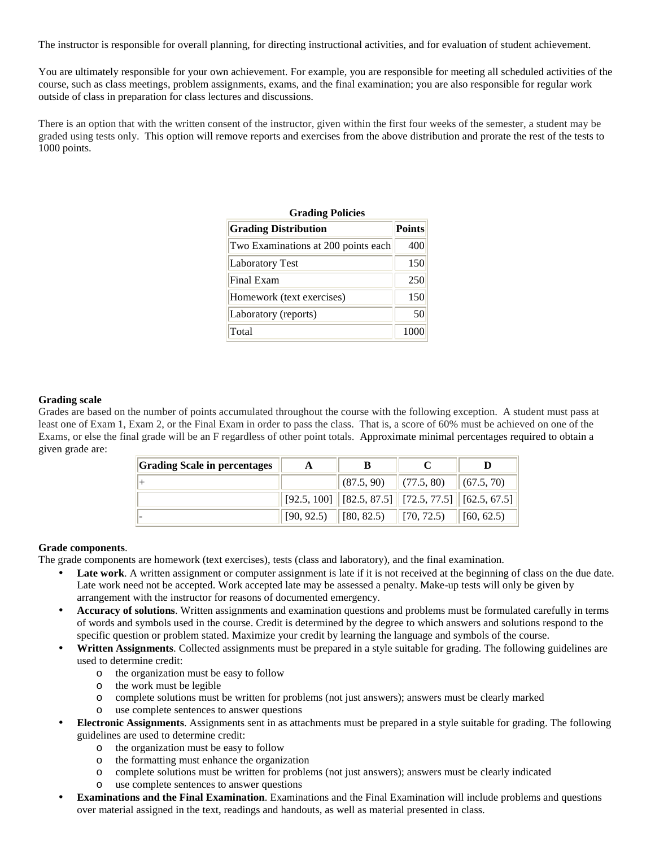The instructor is responsible for overall planning, for directing instructional activities, and for evaluation of student achievement.

You are ultimately responsible for your own achievement. For example, you are responsible for meeting all scheduled activities of the course, such as class meetings, problem assignments, exams, and the final examination; you are also responsible for regular work outside of class in preparation for class lectures and discussions.

There is an option that with the written consent of the instructor, given within the first four weeks of the semester, a student may be graded using tests only. This option will remove reports and exercises from the above distribution and prorate the rest of the tests to 1000 points.

| <b>Grading Policies</b>             |               |  |  |  |
|-------------------------------------|---------------|--|--|--|
| <b>Grading Distribution</b>         | <b>Points</b> |  |  |  |
| Two Examinations at 200 points each | 400           |  |  |  |
| <b>Laboratory Test</b>              | 150           |  |  |  |
| Final Exam                          | 250           |  |  |  |
| Homework (text exercises)           | 150           |  |  |  |
| Laboratory (reports)                | 50            |  |  |  |
| Total                               | 1000          |  |  |  |

#### **Grading scale**

Grades are based on the number of points accumulated throughout the course with the following exception. A student must pass at least one of Exam 1, Exam 2, or the Final Exam in order to pass the class. That is, a score of 60% must be achieved on one of the Exams, or else the final grade will be an F regardless of other point totals. Approximate minimal percentages required to obtain a given grade are:

| <b>Grading Scale in percentages</b> |            |                                                                                    |                                 |                             |
|-------------------------------------|------------|------------------------------------------------------------------------------------|---------------------------------|-----------------------------|
|                                     |            | (87.5, 90)                                                                         | $\  (77.5, 80) \  (67.5, 70)$   |                             |
|                                     |            | $\vert$ [92.5, 100] $\vert$ [82.5, 87.5] $\vert$ [72.5, 77.5] $\vert$ [62.5, 67.5] |                                 |                             |
|                                     | [90, 92.5) | $\  [ 80, 82.5)$                                                                   | $\left  70, 72.5 \right\rangle$ | $\left  \right $ [60, 62.5) |

#### **Grade components**.

The grade components are homework (text exercises), tests (class and laboratory), and the final examination.

- Late work. A written assignment or computer assignment is late if it is not received at the beginning of class on the due date. Late work need not be accepted. Work accepted late may be assessed a penalty. Make-up tests will only be given by arrangement with the instructor for reasons of documented emergency.
- **Accuracy of solutions**. Written assignments and examination questions and problems must be formulated carefully in terms of words and symbols used in the course. Credit is determined by the degree to which answers and solutions respond to the specific question or problem stated. Maximize your credit by learning the language and symbols of the course.
- **Written Assignments**. Collected assignments must be prepared in a style suitable for grading. The following guidelines are used to determine credit:
	- o the organization must be easy to follow
	- o the work must be legible
	- o complete solutions must be written for problems (not just answers); answers must be clearly marked
	- o use complete sentences to answer questions
- **Electronic Assignments**. Assignments sent in as attachments must be prepared in a style suitable for grading. The following guidelines are used to determine credit:
	- o the organization must be easy to follow
	- o the formatting must enhance the organization
	- o complete solutions must be written for problems (not just answers); answers must be clearly indicated
	- o use complete sentences to answer questions
- **Examinations and the Final Examination**. Examinations and the Final Examination will include problems and questions over material assigned in the text, readings and handouts, as well as material presented in class.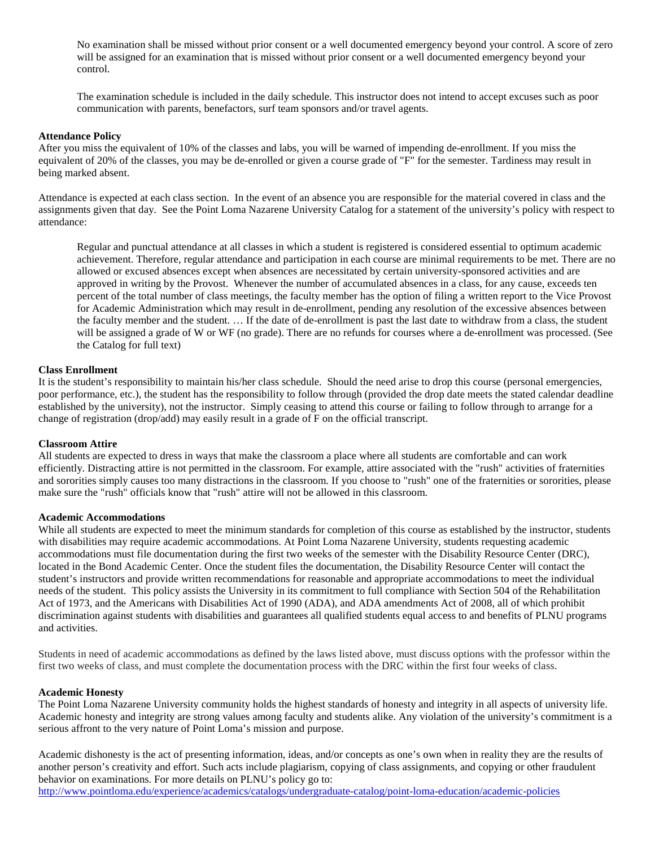No examination shall be missed without prior consent or a well documented emergency beyond your control. A score of zero will be assigned for an examination that is missed without prior consent or a well documented emergency beyond your control.

The examination schedule is included in the daily schedule. This instructor does not intend to accept excuses such as poor communication with parents, benefactors, surf team sponsors and/or travel agents.

#### **Attendance Policy**

After you miss the equivalent of 10% of the classes and labs, you will be warned of impending de-enrollment. If you miss the equivalent of 20% of the classes, you may be de-enrolled or given a course grade of "F" for the semester. Tardiness may result in being marked absent.

Attendance is expected at each class section. In the event of an absence you are responsible for the material covered in class and the assignments given that day. See the Point Loma Nazarene University Catalog for a statement of the university's policy with respect to attendance:

Regular and punctual attendance at all classes in which a student is registered is considered essential to optimum academic achievement. Therefore, regular attendance and participation in each course are minimal requirements to be met. There are no allowed or excused absences except when absences are necessitated by certain university-sponsored activities and are approved in writing by the Provost. Whenever the number of accumulated absences in a class, for any cause, exceeds ten percent of the total number of class meetings, the faculty member has the option of filing a written report to the Vice Provost for Academic Administration which may result in de-enrollment, pending any resolution of the excessive absences between the faculty member and the student. … If the date of de-enrollment is past the last date to withdraw from a class, the student will be assigned a grade of W or WF (no grade). There are no refunds for courses where a de-enrollment was processed. (See the Catalog for full text)

#### **Class Enrollment**

It is the student's responsibility to maintain his/her class schedule. Should the need arise to drop this course (personal emergencies, poor performance, etc.), the student has the responsibility to follow through (provided the drop date meets the stated calendar deadline established by the university), not the instructor. Simply ceasing to attend this course or failing to follow through to arrange for a change of registration (drop/add) may easily result in a grade of F on the official transcript.

#### **Classroom Attire**

All students are expected to dress in ways that make the classroom a place where all students are comfortable and can work efficiently. Distracting attire is not permitted in the classroom. For example, attire associated with the "rush" activities of fraternities and sororities simply causes too many distractions in the classroom. If you choose to "rush" one of the fraternities or sororities, please make sure the "rush" officials know that "rush" attire will not be allowed in this classroom.

#### **Academic Accommodations**

While all students are expected to meet the minimum standards for completion of this course as established by the instructor, students with disabilities may require academic accommodations. At Point Loma Nazarene University, students requesting academic accommodations must file documentation during the first two weeks of the semester with the Disability Resource Center (DRC), located in the Bond Academic Center. Once the student files the documentation, the Disability Resource Center will contact the student's instructors and provide written recommendations for reasonable and appropriate accommodations to meet the individual needs of the student. This policy assists the University in its commitment to full compliance with Section 504 of the Rehabilitation Act of 1973, and the Americans with Disabilities Act of 1990 (ADA), and ADA amendments Act of 2008, all of which prohibit discrimination against students with disabilities and guarantees all qualified students equal access to and benefits of PLNU programs and activities.

Students in need of academic accommodations as defined by the laws listed above, must discuss options with the professor within the first two weeks of class, and must complete the documentation process with the DRC within the first four weeks of class.

#### **Academic Honesty**

The Point Loma Nazarene University community holds the highest standards of honesty and integrity in all aspects of university life. Academic honesty and integrity are strong values among faculty and students alike. Any violation of the university's commitment is a serious affront to the very nature of Point Loma's mission and purpose.

Academic dishonesty is the act of presenting information, ideas, and/or concepts as one's own when in reality they are the results of another person's creativity and effort. Such acts include plagiarism, copying of class assignments, and copying or other fraudulent behavior on examinations. For more details on PLNU's policy go to: http://www.pointloma.edu/experience/academics/catalogs/undergraduate-catalog/point-loma-education/academic-policies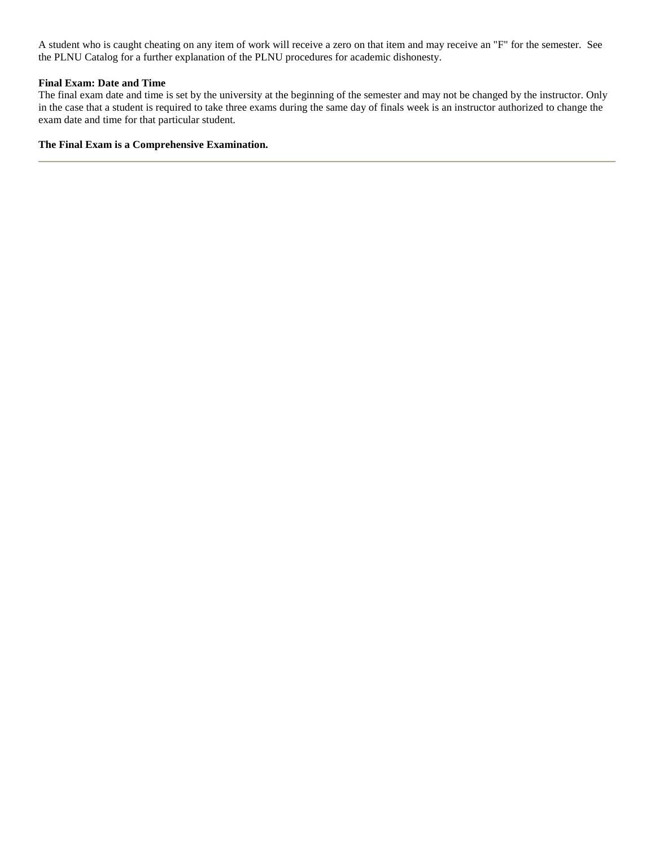A student who is caught cheating on any item of work will receive a zero on that item and may receive an "F" for the semester. See the PLNU Catalog for a further explanation of the PLNU procedures for academic dishonesty.

### **Final Exam: Date and Time**

The final exam date and time is set by the university at the beginning of the semester and may not be changed by the instructor. Only in the case that a student is required to take three exams during the same day of finals week is an instructor authorized to change the exam date and time for that particular student.

#### **The Final Exam is a Comprehensive Examination.**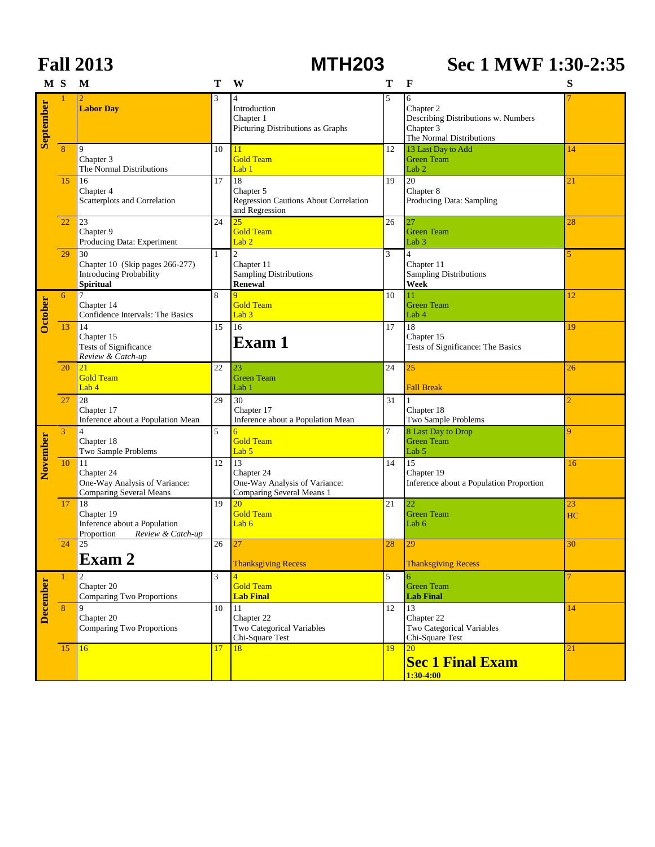|                 |                | <b>Fall 2013</b>                                                                            |              | <b>MTH203</b>                                                                    |                | Sec 1 MWF 1:30-2:35                                                                            |                |
|-----------------|----------------|---------------------------------------------------------------------------------------------|--------------|----------------------------------------------------------------------------------|----------------|------------------------------------------------------------------------------------------------|----------------|
| M <sub>S</sub>  |                | M                                                                                           | T            | W                                                                                | Т              | $\mathbf{F}$                                                                                   | S              |
| September       |                | <b>Labor Day</b>                                                                            | 3            | $\overline{4}$<br>Introduction<br>Chapter 1<br>Picturing Distributions as Graphs | 5              | 6<br>Chapter 2<br>Describing Distributions w. Numbers<br>Chapter 3<br>The Normal Distributions |                |
|                 | $\overline{8}$ | 9<br>Chapter 3<br>The Normal Distributions                                                  | 10           | 11<br><b>Gold Team</b><br>Lab <sub>1</sub>                                       | 12             | 13 Last Day to Add<br><b>Green Team</b><br>Lab <sub>2</sub>                                    | 14             |
|                 | 15             | 16<br>Chapter 4<br>Scatterplots and Correlation                                             | 17           | 18<br>Chapter 5<br>Regression Cautions About Correlation<br>and Regression       | 19             | $20\,$<br>Chapter 8<br>Producing Data: Sampling                                                | 21             |
|                 | 22             | 23<br>Chapter 9<br>Producing Data: Experiment                                               | 24           | $\overline{25}$<br><b>Gold Team</b><br>Lab $2$                                   | 26             | 27<br><b>Green Team</b><br>Lab <sub>3</sub>                                                    | 28             |
|                 | 29             | 30<br>Chapter 10 (Skip pages 266-277)<br><b>Introducing Probability</b><br><b>Spiritual</b> | $\mathbf{1}$ | $\overline{c}$<br>Chapter 11<br>Sampling Distributions<br><b>Renewal</b>         | 3              | $\overline{4}$<br>Chapter 11<br>Sampling Distributions<br>Week                                 | 5              |
| October         | 6              | $\overline{7}$<br>Chapter 14<br>Confidence Intervals: The Basics                            | 8            | 9<br><b>Gold Team</b><br>Lab $3$                                                 | 10             | 11<br><b>Green Team</b><br>Lab 4                                                               | 12             |
|                 | 13             | 14<br>Chapter 15<br>Tests of Significance<br>Review & Catch-up                              | 15           | $\overline{16}$<br>Exam 1                                                        | 17             | 18<br>Chapter 15<br>Tests of Significance: The Basics                                          | 19             |
|                 | 20             | 21<br><b>Gold Team</b><br>Lab 4                                                             | 22           | 23<br><b>Green Team</b><br>Lab 1                                                 | 24             | 25<br><b>Fall Break</b>                                                                        | 26             |
|                 | 27             | 28<br>Chapter 17<br>Inference about a Population Mean                                       | 29           | 30<br>Chapter 17<br>Inference about a Population Mean                            | 31             | $\vert$ 1<br>Chapter 18<br>Two Sample Problems                                                 | 2              |
|                 | 3              | $\overline{4}$<br>Chapter 18<br>Two Sample Problems                                         | 5            | $\overline{6}$<br><b>Gold Team</b><br>Lab <sub>5</sub>                           | $\overline{7}$ | 8 Last Day to Drop<br><b>Green Team</b><br>Lab 5                                               | 9              |
| November        | $10\,$         | 11<br>Chapter 24<br>One-Way Analysis of Variance:<br><b>Comparing Several Means</b>         | 12           | 13<br>Chapter 24<br>One-Way Analysis of Variance:<br>Comparing Several Means 1   | 14             | 15<br>Chapter 19<br>Inference about a Population Proportion                                    | 16             |
|                 | 17             | 18<br>Chapter 19<br>Inference about a Population<br>Proportion Review & Catch-up            | 19           | 20<br><b>Gold Team</b><br>Lab $6$                                                | 21             | 22<br><b>Green Team</b><br>Lab 6                                                               | 23<br>HC       |
|                 | 24             | 25<br>Exam 2                                                                                | 26           | 27<br><b>Thanksgiving Recess</b>                                                 | 28             | 29<br><b>Thanksgiving Recess</b>                                                               | 30             |
| <b>December</b> | $\mathbf{1}$   | $\overline{c}$<br>Chapter 20<br>Comparing Two Proportions                                   | 3            | $\overline{4}$<br><b>Gold Team</b><br><b>Lab Final</b>                           | 5              | 6<br><b>Green Team</b><br><b>Lab Final</b>                                                     | $\overline{7}$ |
|                 | $\overline{8}$ | 9<br>Chapter 20<br><b>Comparing Two Proportions</b>                                         | 10           | 11<br>Chapter 22<br>Two Categorical Variables<br>Chi-Square Test                 | 12             | 13<br>Chapter 22<br>Two Categorical Variables<br>Chi-Square Test                               | 14             |
|                 | 15             | 16                                                                                          | 17           | 18                                                                               | 19             | 20<br><b>Sec 1 Final Exam</b><br>$1:30-4:00$                                                   | 21             |